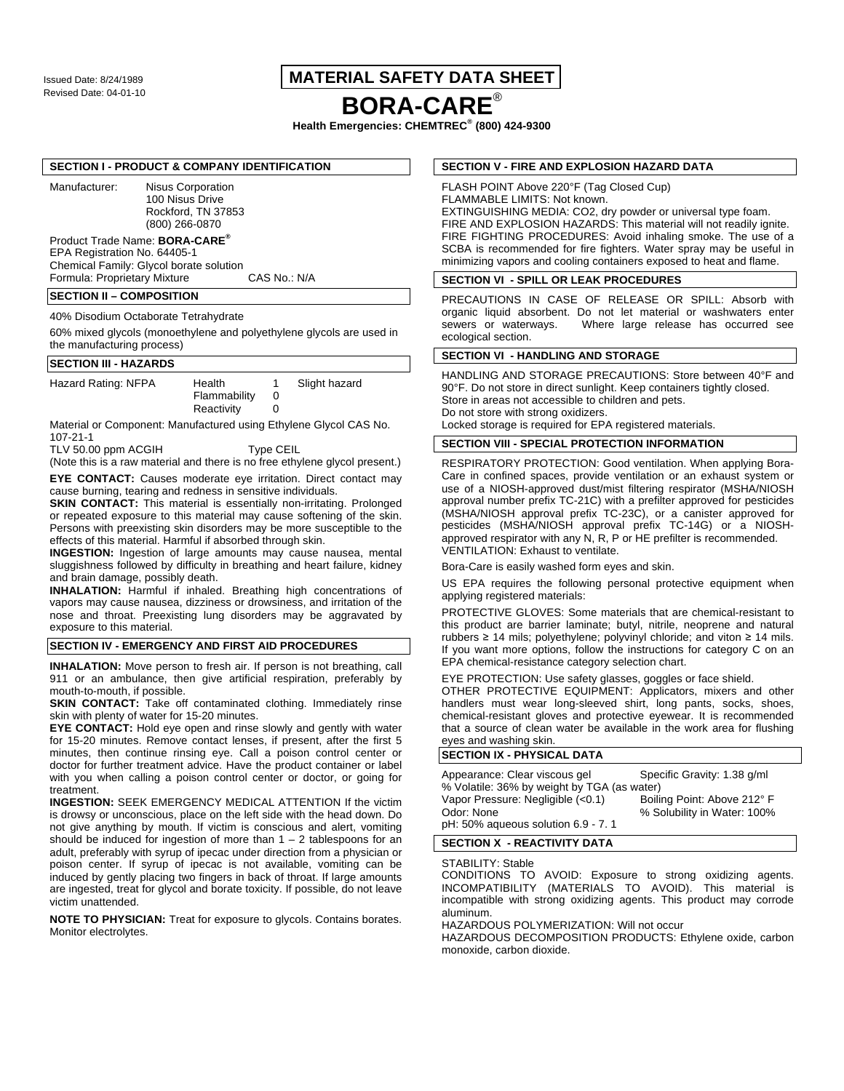# Issued Date: 8/24/1989 **MATERIAL SAFETY DATA SHEET**

# Revised Date: 04-01-10 **BORA-CARE**®

**Health Emergencies: CHEMTREC® (800) 424-9300**

#### **SECTION I - PRODUCT & COMPANY IDENTIFICATION**

Manufacturer: Nisus Corporation 100 Nisus Drive Rockford, TN 37853 (800) 266-0870

# Product Trade Name: **BORA-CARE®**

EPA Registration No. 64405-1 Chemical Family: Glycol borate solution Formula: Proprietary Mixture

# **SECTION II – COMPOSITION**

40% Disodium Octaborate Tetrahydrate

60% mixed glycols (monoethylene and polyethylene glycols are used in the manufacturing process)

# **SECTION III - HAZARDS**

| Hazard Rating: NFPA | Health       | Slight hazard |  |
|---------------------|--------------|---------------|--|
|                     | Flammability |               |  |
|                     | Reactivity   |               |  |

Material or Component: Manufactured using Ethylene Glycol CAS No. 107-21-1

TLV 50.00 ppm ACGIH Type CEIL

(Note this is a raw material and there is no free ethylene glycol present.)

**EYE CONTACT:** Causes moderate eye irritation. Direct contact may cause burning, tearing and redness in sensitive individuals.

**SKIN CONTACT:** This material is essentially non-irritating. Prolonged or repeated exposure to this material may cause softening of the skin. Persons with preexisting skin disorders may be more susceptible to the effects of this material. Harmful if absorbed through skin.

**INGESTION:** Ingestion of large amounts may cause nausea, mental sluggishness followed by difficulty in breathing and heart failure, kidney and brain damage, possibly death.

**INHALATION:** Harmful if inhaled. Breathing high concentrations of vapors may cause nausea, dizziness or drowsiness, and irritation of the nose and throat. Preexisting lung disorders may be aggravated by exposure to this material.

## **SECTION IV - EMERGENCY AND FIRST AID PROCEDURES**

**INHALATION:** Move person to fresh air. If person is not breathing, call 911 or an ambulance, then give artificial respiration, preferably by mouth-to-mouth, if possible.

**SKIN CONTACT:** Take off contaminated clothing. Immediately rinse skin with plenty of water for 15-20 minutes.

**EYE CONTACT:** Hold eye open and rinse slowly and gently with water for 15-20 minutes. Remove contact lenses, if present, after the first 5 minutes, then continue rinsing eye. Call a poison control center or doctor for further treatment advice. Have the product container or label with you when calling a poison control center or doctor, or going for treatment.

**INGESTION:** SEEK EMERGENCY MEDICAL ATTENTION If the victim is drowsy or unconscious, place on the left side with the head down. Do not give anything by mouth. If victim is conscious and alert, vomiting should be induced for ingestion of more than  $1 - 2$  tablespoons for an adult, preferably with syrup of ipecac under direction from a physician or poison center. If syrup of ipecac is not available, vomiting can be induced by gently placing two fingers in back of throat. If large amounts are ingested, treat for glycol and borate toxicity. If possible, do not leave victim unattended.

**NOTE TO PHYSICIAN:** Treat for exposure to glycols. Contains borates. Monitor electrolytes.

#### **SECTION V - FIRE AND EXPLOSION HAZARD DATA**

FLASH POINT Above 220°F (Tag Closed Cup) FLAMMABLE LIMITS: Not known. EXTINGUISHING MEDIA: CO2, dry powder or universal type foam. FIRE AND EXPLOSION HAZARDS: This material will not readily ignite. FIRE FIGHTING PROCEDURES: Avoid inhaling smoke. The use of a SCBA is recommended for fire fighters. Water spray may be useful in

minimizing vapors and cooling containers exposed to heat and flame.

# **SECTION VI - SPILL OR LEAK PROCEDURES**

PRECAUTIONS IN CASE OF RELEASE OR SPILL: Absorb with organic liquid absorbent. Do not let material or washwaters enter sewers or waterways. Where large release has occurred see ecological section.

#### **SECTION VI - HANDLING AND STORAGE**

HANDLING AND STORAGE PRECAUTIONS: Store between 40°F and 90°F. Do not store in direct sunlight. Keep containers tightly closed. Store in areas not accessible to children and pets. Do not store with strong oxidizers. Locked storage is required for EPA registered materials.

**SECTION VIII - SPECIAL PROTECTION INFORMATION** 

RESPIRATORY PROTECTION: Good ventilation. When applying Bora-Care in confined spaces, provide ventilation or an exhaust system or use of a NIOSH-approved dust/mist filtering respirator (MSHA/NIOSH approval number prefix TC-21C) with a prefilter approved for pesticides (MSHA/NIOSH approval prefix TC-23C), or a canister approved for pesticides (MSHA/NIOSH approval prefix TC-14G) or a NIOSHapproved respirator with any N, R, P or HE prefilter is recommended. VENTILATION: Exhaust to ventilate.

Bora-Care is easily washed form eyes and skin.

US EPA requires the following personal protective equipment when applying registered materials:

PROTECTIVE GLOVES: Some materials that are chemical-resistant to this product are barrier laminate; butyl, nitrile, neoprene and natural rubbers  $\geq 14$  mils; polyethylene; polyvinyl chloride; and viton  $\geq 14$  mils. If you want more options, follow the instructions for category C on an EPA chemical-resistance category selection chart.

EYE PROTECTION: Use safety glasses, goggles or face shield.

OTHER PROTECTIVE EQUIPMENT: Applicators, mixers and other handlers must wear long-sleeved shirt, long pants, socks, shoes, chemical-resistant gloves and protective eyewear. It is recommended that a source of clean water be available in the work area for flushing eyes and washing skin.

# **SECTION IX - PHYSICAL DATA**

| Appearance: Clear viscous gel               | Specific Gravity: 1.38 g/ml |  |  |
|---------------------------------------------|-----------------------------|--|--|
| % Volatile: 36% by weight by TGA (as water) |                             |  |  |
| Vapor Pressure: Negligible (<0.1)           | Boiling Point: Above 212° F |  |  |
| Odor: None                                  | % Solubility in Water: 100% |  |  |
| pH: 50% aqueous solution 6.9 - 7.1          |                             |  |  |
|                                             |                             |  |  |

#### **SECTION X - REACTIVITY DATA**

STABILITY: Stable

CONDITIONS TO AVOID: Exposure to strong oxidizing agents. INCOMPATIBILITY (MATERIALS TO AVOID). This material is incompatible with strong oxidizing agents. This product may corrode aluminum.

HAZARDOUS POLYMERIZATION: Will not occur

HAZARDOUS DECOMPOSITION PRODUCTS: Ethylene oxide, carbon monoxide, carbon dioxide.